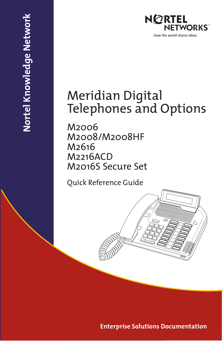

## Meridian Digital Telephones and Options

M2006 M2008/M2008HF M2616 M2216ACD M2016S Secure Set

Nortel Knowledge Network **Nortel Knowledge Network**

Quick Reference Guide

**Enterprise Solutions Documentation**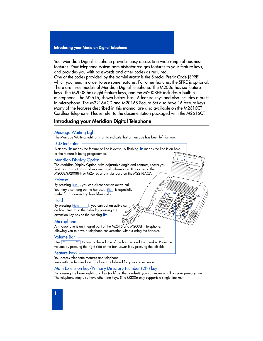Your Meridian Digital Telephone provides easy access to a wide range of business features. Your telephone system administrator assigns features to your feature keys, and provides you with passwords and other codes as required.

One of the codes provided by the administrator is the Special Prefix Code (SPRE) which you need in order to use some features. For other features, the SPRE is optional. There are three models of Meridian Digital Telephone. The M2006 has six feature keys. The M2008 has eight feature keys, and the M2008HF includes a built-in microphone. The M2616, shown below, has 16 feature keys and also includes a builtin microphone. The M2216ACD and M2016S Secure Set also have 16 feature keys. Many of the features described in this manual are also available on the M2616CT Cordless Telephone. Please refer to the documentation packaged with the M2616CT.

### **Introducing your Meridian Digital Telephone**

#### Message Waiting Light

The Message Waiting light turns on to indicate that a message has been left for you.

#### LCD Indicator

A steady  $\triangleright$  means the feature or line is active. A flashing  $\triangleright$  means the line is on hold or the feature is being programmed.

#### Meridian Display Option

The Meridian Display Option, with adjustable angle and contrast, shows you features, instructions, and incoming call information. It attaches to the M2008/M2008HF or M2616, and is standard on the M2216ACD.

#### Release

By pressing RIs, you can disconnect an active call. You may also hang up the handset.  $RIS$  is especially useful for disconnecting handsfree calls.

#### Hold

By pressing Hold , you can put an active call on hold. Return to the caller by pressing the extension key beside the flashing  $\blacktriangleright$ .

#### Microphone

A microphone is an integral part of the M2616 and M2008HF telephone, allowing you to have a telephone conversation without using the handset.

#### Volume Bar

Use  $\overline{\lll}$   $\gg$  to control the volume of the handset and the speaker. Raise the volume by pressing the right side of the bar. Lower it by pressing the left side.

#### Feature keys

You access telephone features and telephone lines with the feature keys. The keys are labeled for your convenience.

#### Main Extension key/Primary Directory Number (DN) key

By pressing the lower right-hand key (or lifting the handset), you can make a call on your primary line. The telephone may also have other line keys. (The M2006 only supports a single line key).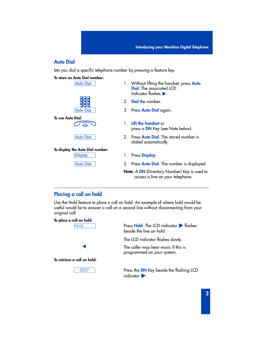### **Auto Dial**

lets you dial a specific telephone number by pressing a feature key.

#### **To store an Auto Dial number:**



**To use Auto Dial:**



**Auto Dial** 

#### **To display the Auto Dial number:**

Display

**Auto Dial** 

- ç 1. Without lifting the handset, press **Auto Dial.** The associated LCD Indicator flashes  $\blacktriangleright$ 
	- 2. **Dial** the number.
	- 3. Press **Auto Dial** again.
	- 1. **Lift the handset** or press a **DN** Key (see Note below).
	- 2. Press **Auto Dial**. The stored number is dialed automatically.
	- 1. Press **Display**.
	- 2. Press **Auto Dial**. The number is displayed.
	- **Note:** A **DN** (Directory Number) Key is used to access a line on your telephone.

#### **Placing a call on hold**

Use the Hold feature to place a call on hold. An example of where hold would be useful would be to answer a call on a second line without disconnecting from your original call.





**To retrieve a call on hold:**



˙ Press **Hold**. The LCD indicator º flashes beside the line on hold.

The LCD indicator flashes slowly.

The caller may hear music if this is programmed on your system.

**2637** Press the DN Key beside the flashing LCD  $indicate$   $\blacktriangleright$ .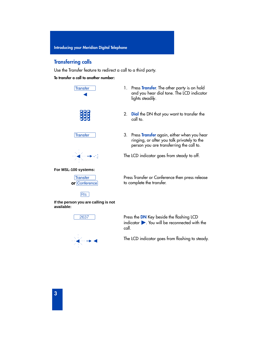### **Transferring calls**

Use the Transfer feature to redirect a call to a third party.

#### **To transfer a call to another number:**





- 2. **Dial** the DN that you want to transfer the call to.
- † 3. Press **Transfer** again, either when you hear ringing, or after you talk privately to the person you are transferring the call to.

The LCD indicator goes from steady to off.

**For MSL-100 systems:**



 $\frac{1}{\sqrt{2}}\left(1-\frac{1}{2}\right)$ 



**If the person you are calling is not available:**



Press Transfer or Conference then press release to complete the transfer.

**∂** 2637 **Press the DN** Key beside the flashing LCD  $indication$   $\triangleright$ . You will be reconnected with the call.

The LCD indicator goes from flashing to steady.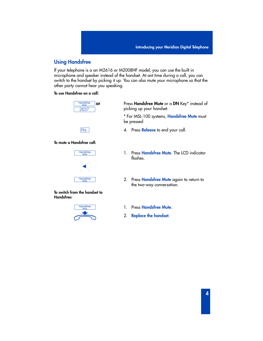### **Using Handsfree**

If your telephone is a an M2616 or M2008HF model, you can use the built in microphone and speaker instead of the handset. At ant time during a call, you can switch to the handset by picking it up. You can also mute your microphone so that the other party cannot hear you speaking.

#### **To use Handsfree on a call:**

| <b>Handsfree</b><br>Mute | or |
|--------------------------|----|
| 2637                     |    |
|                          |    |
|                          |    |
|                          |    |
| R s                      |    |

#### **To mute a Handsfree call:**



#### **To switch from the handset to Handsfree:**



Press **Handsfree Mute** or a **DN** Key\* instead of picking up your handset.

\* For MSL-100 systems, **Handsfree Mute** must be pressed

- ® 4. Press **Release** to end your call.
- © 1. Press **Handsfree Mute**. The LCD indicator flashes.
- © 2. Press **Handsfree Mute** again to return to the two-way conversation.
- © 1. Press **Handsfree Mute**.
	- 2. **Replace the handset**.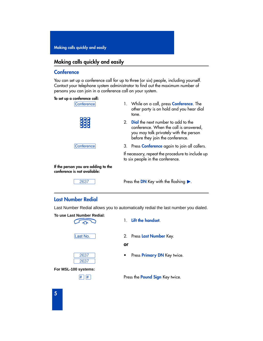### **Making calls quickly and easily**

#### **Conference**

You can set up a conference call for up to three (or six) people, including yourself. Contact your telephone system administrator to find out the maximum number of persons you can join in a conference call on your system.

#### **To set up a conference call:**

| Conference                                                          |                | 1. While on a call, press <b>Conference</b> . The<br>other party is on hold and you hear dial<br>tone.                                                            |
|---------------------------------------------------------------------|----------------|-------------------------------------------------------------------------------------------------------------------------------------------------------------------|
|                                                                     | 2 <sub>1</sub> | <b>Dial</b> the next number to add to the<br>conference. When the call is answered,<br>you may talk privately with the person<br>before they join the conference. |
| Conference                                                          |                | 3. Press <b>Conference</b> again to join all callers.                                                                                                             |
|                                                                     |                | If necessary, repeat the procedure to include up<br>to six people in the conference.                                                                              |
| If the person you are adding to the<br>conference is not available: |                |                                                                                                                                                                   |
| -----                                                               |                |                                                                                                                                                                   |

2637 **Press the DN Key with the flashing ▶**.

### **Last Number Redial**

Last Number Redial allows you to automatically redial the last number you dialed.









**For MSL-100 systems:**

- 1. **Lift the handset**.
- √ 2. Press **Last Number** Key.

**or**

Press **Primary DN** Key twice.

££ Press the **Pound Sign** Key twice.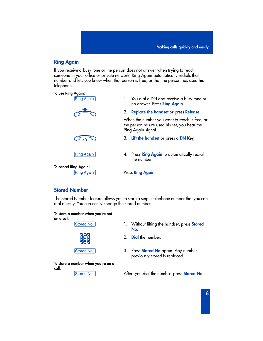### **Ring Again**

If you receive a busy tone or the person does not answer when trying to reach someone in your office or private network, Ring Again automatically redials that number and lets you know when that person is free, or that the person has used his telephone.



### **Stored Number**

The Stored Number feature allows you to store a single telephone number that you can dial quickly. You can easily change the stored number.

#### **To store a number when you're not on a call:**



- Stored No. 1. Without lifting the handset, press **Stored No**.
	- 2. **Dial** the number.
- Stored No. 3. Press **Stored No** again. Any number previously stored is replaced.

**To store a number when you're on a call:**

Stored No. **Example 2** After you dial the number, press **Stored No.**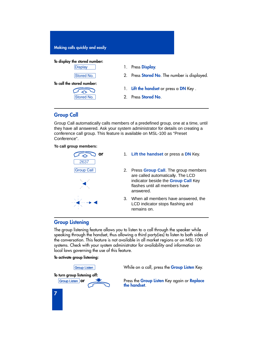

### **Group Call**

Group Call automatically calls members of a predefined group, one at a time, until they have all answered. Ask your system administrator for details on creating a conference call group. This feature is available on MSL-100 as "Preset Conference".

#### **To call group members:**



- 1. **Lift the handset** or press a **DN** Key.
- Group Call 1 2. Press Group Call. The group members are called automatically. The LCD indicator beside the **Group Call** Key flashes until all members have answered.
	- 3. When all members have answered, the LCD indicator stops flashing and remains on.

#### **Group Listening**

The group listening feature allows you to listen to a call through the speaker while speaking through the handset, thus allowing a third party(ies) to listen to both sides of the conversation. This feature is not available in all market regions or on MSL-100 systems. Check with your system administrator for availability and information on local laws governing the use of this feature.

#### **To activate group listening:**

**To turn group listening off:**

∫Group Listen While on a call, press the **Group Listen** Key.

∫Group Listen **or** Press the **Group Listen** Key again or **Replace the handset**.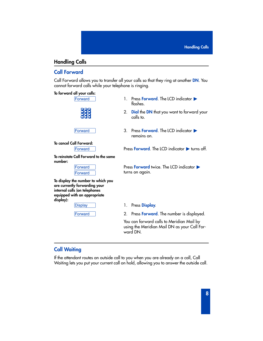### **Handling Calls**

### **Call Forward**

Call Forward allows you to transfer all your calls so that they ring at another **DN**. You cannot forward calls while your telephone is ringing.

#### **To forward all your calls:**



- ∑ 1. Press **Forward**. The LCD indicator º flashes.
	- 2. **Dial** the **DN** that you want to forward your calls to.
- ∑ 3. Press **Forward**. The LCD indicator º remains on.

**To cancel Call Forward:**

∑ Press **Forward**. The LCD indicator º turns off.

**To reinstate Call Forward to the same number:**

| wai<br>п |
|----------|
| vа       |

**To display the number to which you are currently forwarding your internal calls (on telephones equipped with an appropriate display):** 

|--|

**Press Forward** twice. The LCD indicator  $\blacktriangleright$ turns on again.

1. Press **Display**.

2. Press **Forward**. The number is displayed.

You can forward calls to Meridian Mail by using the Meridian Mail DN as your Call Forward DN.

### **Call Waiting**

If the attendant routes an outside call to you when you are already on a call, Call Waiting lets you put your current call on hold, allowing you to answer the outside call.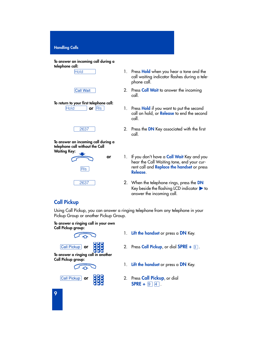| To answer an incoming call during a |  |  |  |
|-------------------------------------|--|--|--|
| telephone call:                     |  |  |  |

#### **Call Wait**

### **To return to your first telephone call:**

#### **To answer an incoming call during a telephone call without the Call Waiting Key:**



- ˙ 1. Press **Hold** when you hear a tone and the call waiting indicator flashes during a tele phone call.
	- 2. Press **Call Wait** to answer the incoming call.
- **Fold or**  $\boxed{\text{RIs}}$  1. Press **Hold** if you want to put the second call on hold, or **Release** to end the second call.
	- 2. Press the **DN** Key associated with the first call.
	- 1. If you don't have a **Call Wait** Key and you hear the Call Waiting tone, end your current call and **Replace the handset** or press **Release**.
	- ∫ 2637 2. When the telephone rings, press the **DN** Key beside the flashing LCD indicator  $\blacktriangleright$  to answer the incoming call.

### **Call Pickup**

Using Call Pickup, you can answer a ringing telephone from any telephone in your Pickup Group or another Pickup Group.

#### **To answer a ringing call in your own Call Pickup group:**





**To answer a ringing call in another Call Pickup group:**





- **Call Pickup** or **Call Pickup**, or dial **SPRE** + 3.
	- 1. **Lift the handset** or press a **DN** Key.
- ƒ**or** 2. Press **Call Pickup**, or dial  $SPRE + 9 | 4$ .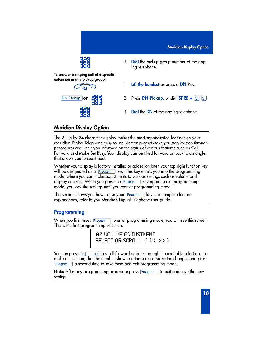

**To answer a ringing call at a specific extension in any pickup group:**

- $\sigma$
- 3. **Dial** the pickup group number of the ringing telephone.
- 1. **Lift the handset** or press a **DN** Key.
- **<u>ON Pickup</u> or**  $\begin{bmatrix} 1 & 0 & 0 \\ 0 & 1 & 0 \\ 0 & 0 & 1 \end{bmatrix}$  **CD**  $\begin{bmatrix} 0 & 0 & 0 \\ 0 & 1 & 0 \\ 0 & 0 & 1 \end{bmatrix}$  **2.** Press **DN Pickup**, or dial **SPRE** +  $\begin{bmatrix} 0 & 0 \\ 0 & 1 \end{bmatrix}$  .
	- 3. **Dial** the **DN** of the ringing telephone.

### **Meridian Display Option**

The 2 line by 24 character display makes the most sophisticated features on your Meridian Digital Telephone easy to use. Screen prompts take you step by step through procedures and keep you informed on the status of various features such as Call Forward and Make Set Busy. Your display can be tilted forward or back to an angle that allows you to see it best.

Whether your display is factory installed or added on later, your top right function key will be designated as a **Program All key. This key enters you into** the programming mode, where you can make adjustments to various settings such as volume and display contrast. When you press the  $P<sub>rogram</sub>$  key again to exit programming mode, you lock the settings until you reenter programming mode

This section shows you how to use your **Program** Rey. For complete feature explanations, refer to you Meridian Digital Telephone user guide.

### **Programming**

When you first press **Program** to enter programming mode, you will see this screen. This is the first programming selection.

> 00 VOLUME ADJUSTMENT SELECT OR SCROLL < < < > > >

You can press  $\sqrt{\frac{m}{m}}$  to scroll forward or back through the available selections. To make a selection, dial the number shown on the screen. Make the changes and press Program a second time to save them and exit programming mode.

**Note:** After any programming procedure press **Program** to exit and save the new setting.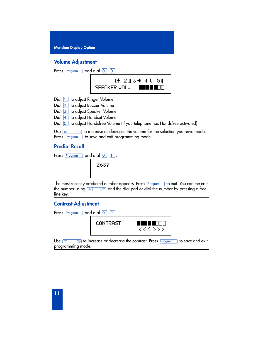#### **Volume Adjustment**

| and dial $\boxed{0}$<br>Press Program                                                                                                                   |
|---------------------------------------------------------------------------------------------------------------------------------------------------------|
| 1 2 2 田 3 4 4 4 5 0 1<br>SPEAKER VOL.                                                                                                                   |
| Dial 1 to adjust Ringer Volume                                                                                                                          |
| Dial 2 to adjust Buzzer Volume                                                                                                                          |
| Dial $\boxed{3}$ to adjust Speaker Volume                                                                                                               |
| Dial 4 to adjust Handset Volume                                                                                                                         |
| Dial 5 to adjust Handsfree Volume (If you telephone has Handsfree activated)                                                                            |
| to increase or decrease the volume for the selection you have made.<br>Use $ $<br>$\gg$<br>$\ll$<br>to save and exit programming mode.<br>Press Program |

### **Predial Recall**

| $\Box$ and dial $\Box$ $\Box$ .<br>Press Program |      |  |  |
|--------------------------------------------------|------|--|--|
|                                                  | 2637 |  |  |
|                                                  |      |  |  |

The most recently predialed number appears. Press <u>Programss</u> to exit. You can the edit the number using  $\overline{(\%)}$   $\overline{(\%)}$  and the dial pad or dial the number by pressing a free line key.

### **Contrast Adjustment**

| Press Program | 12.             |                                   |
|---------------|-----------------|-----------------------------------|
|               | <b>CONTRAST</b> | M.<br>H<br>H<br>H<br>.<br>くくく シンシ |

Use  $\sqrt{\frac{m}{m}}$  to increase or decrease the contrast. Press  $\boxed{\text{Program}}$  to save and exit programming mode.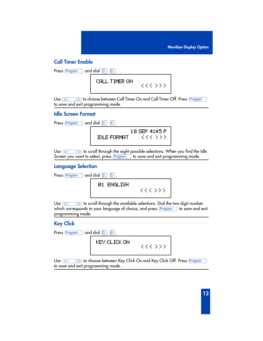### **Call Timer Enable**

| Press $\boxed{\text{Program}}$ and dial $\boxed{0}$ $\boxed{3}$ . |               |         |
|-------------------------------------------------------------------|---------------|---------|
|                                                                   | CALL TIMER ON | くくく シンシ |

Use  $\overline{\textcolor{red}{\text{}}\textcolor{blue}{\text{}}\textcolor{blue}{\text{}}\textcolor{blue}{\text{}}\textcolor{blue}{\text{}}\textcolor{blue}{\text{}}\textcolor{blue}{\text{}}\textcolor{blue}{\text{}}\textcolor{blue}{\text{}}\textcolor{blue}{\text{}}\textcolor{blue}{\text{}}\textcolor{blue}{\text{}}\textcolor{blue}{\text{}}\text{}}$  bo choose between Call Timer On and Call Timer Off. Press Program  $\overline{\phantom{a}}$ to save and exit programming mode.

#### **Idle Screen Format**

| Press Program | $\Box$ and dial $\Box$<br>$ 4 $ . |                          |
|---------------|-----------------------------------|--------------------------|
|               | <b>IDLE FORMAT</b>                | 18 SEP 4:45 P<br>くくく シンシ |

Use  $\overline{\mathbb{R}}$   $\overline{\mathbb{R}}$  to scroll through the eight possible selections. When you find the Idle Screen you want to select, press Program to save and exit programming mode.

### **Language Selection**

| Press $\boxed{\text{Program}}$ and dial $\boxed{0}$ $\boxed{5}$ . |            |         |
|-------------------------------------------------------------------|------------|---------|
|                                                                   | 01 ENGLISH | くくく ゝゝゝ |

Use  $\sqrt{\frac{m}{m}}$  to scroll through the available selections. Dial the two digit number which corresponds to your language of choice, and press Program to save and exit programming mode.

### **Key Click**

| and dial $\boxed{0}$ $\boxed{9}$ .<br>Press Program |         |
|-----------------------------------------------------|---------|
| KEY CLICK ON                                        | くくく シンシ |

Use  $\overline{\textcolor{red}{\text{w}}\textcolor{blue}{\text{w}}}$  to choose between Key Click On and Key Click Off. Press Program  $\overline{\textcolor{red}{\text{w}}}$ to save and exit programming mode.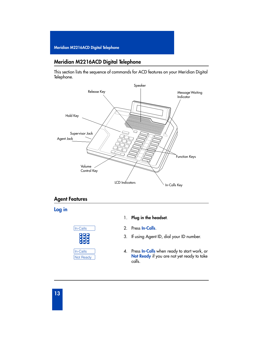### **Meridian M2216ACD Digital Telephone**

This section lists the sequence of commands for ACD features on your Meridian Digital Telephone.



### **Agent Features**

### **Log in**



#### 1. **Plug in the headset**.

- ∫In-Calls 2. Press **In-Calls**.
	- 3. If using Agent ID, dial your ID number.
	- 4. Press **In-Calls** when ready to start work, or **Not Ready** if you are not yet ready to take calls.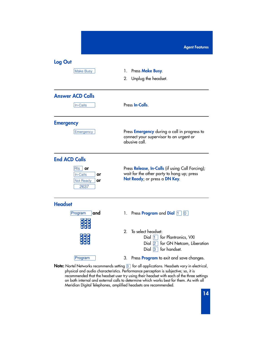| Log Out                                                |                                                                                                                                 |  |
|--------------------------------------------------------|---------------------------------------------------------------------------------------------------------------------------------|--|
| <b>Make Busy</b>                                       | 1. Press Make Busy.<br>2. Unplug the headset.                                                                                   |  |
| <b>Answer ACD Calls</b>                                |                                                                                                                                 |  |
| In-Calls                                               | Press In-Calls.                                                                                                                 |  |
| <b>Emergency</b>                                       |                                                                                                                                 |  |
| Emergency                                              | Press <b>Emergency</b> during a call in progress to<br>connect your supervisor to an urgent or<br>abusive call.                 |  |
| <b>End ACD Calls</b>                                   |                                                                                                                                 |  |
| RIs<br>or<br>In-Calls<br>or<br>Not Ready<br>or<br>2637 | Press Release, In-Calls (if using Call Forcing);<br>wait for the other party to hang up; press<br>Not Ready; or press a DN Key. |  |
| <b>Headset</b>                                         |                                                                                                                                 |  |
| Program<br>and                                         | 1. Press <b>Program</b> and <b>Dial</b> $\begin{bmatrix} 1 \end{bmatrix}$ $\begin{bmatrix} 0 \end{bmatrix}$                     |  |
| 2.                                                     | To select headset:<br>Dial 1 for Plantronics, VXI<br>Dial 2 for GN Netcom, Liberation<br>Dial $\boxed{3}$ for handset.          |  |
| Program                                                | Press <b>Program</b> to exit and save changes.<br>3.                                                                            |  |

**Note:** Nortel Networks recommends setting <sup>3</sup> for all applications. Headsets vary in electrical, physical and audio characteristics. Performance perception is subjective; so, it is recommended that the headset user try using their headset with each of the three settings on both internal and external calls to determine which works best for them. As with all Meridian Digital Telephones, amplified headsets are recommended.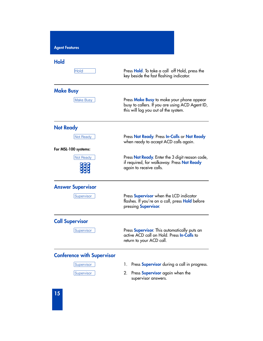| <b>Agent Features</b>                                         |                                                                                                                                      |
|---------------------------------------------------------------|--------------------------------------------------------------------------------------------------------------------------------------|
| <b>Hold</b><br>Hold                                           | Press Hold. To take a call off Hold, press the<br>key beside the fast flashing indicator.                                            |
| <b>Make Busy</b><br><b>Make Busy</b>                          | Press Make Busy to make your phone appear<br>busy to callers. If you are using ACD Agent ID,<br>this will log you out of the system. |
| <b>Not Ready</b><br>Not Ready                                 | Press Not Ready. Press In-Calls or Not Ready<br>when ready to accept ACD calls again.                                                |
| For MSL-100 systems:<br>Not Ready                             | Press Not Ready. Enter the 3 digit reason code,<br>if required, for walkaway. Press <b>Not Ready</b><br>again to receive calls.      |
| <b>Answer Supervisor</b><br>Supervisor                        | Press Supervisor when the LCD indicator<br>flashes. If you're on a call, press Hold before<br>pressing Supervisor.                   |
| <b>Call Supervisor</b><br>Supervisor                          | Press <b>Supervisor</b> . This automatically puts an<br>active ACD call on Hold. Press In-Calls to<br>return to your ACD call.       |
| <b>Conference with Supervisor</b><br>Supervisor<br>Supervisor | Press <b>Supervisor</b> during a call in progress.<br>Ι.<br>Press Supervisor again when the<br>2.<br>supervisor answers.             |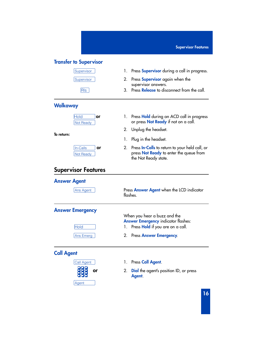#### **Transfer to Supervisor**



#### **Walkaway**

| old             |  |
|-----------------|--|
| <b>Vot Read</b> |  |

**To return:**



### **Supervisor Features**

#### **Answer Agent**

∫Ans Agent Press **Answer Agent** when the LCD indicator flashes.

**Answer Emergency**

**Hold** 

When you hear a buzz and the **Answer Emergency** indicator flashes:

- 1. Press **Hold** if you are on a call.
- ∫Ans Emerg 2. Press **Answer Emergency**.

### **Call Agent**



- ∫Call Agent 1. Press **Call Agent**.
	- 2. **Dial** the agent's position ID, or press **Agent**.
- Supervisor 1. Press **Supervisor** during a call in progress.
- ∫Supervisor 2. Press **Supervisor** again when the supervisor answers.
	- ® 3. Press **Release** to disconnect from the call.
		- 1. Press **Hold** during an ACD call in progress or press **Not Ready** if not on a call.
		- 2. Unplug the headset.
		- 1. Plug in the headset.
		- 2. Press **In-Calls** to return to your held call, or press **Not Ready** to enter the queue from the Not Ready state.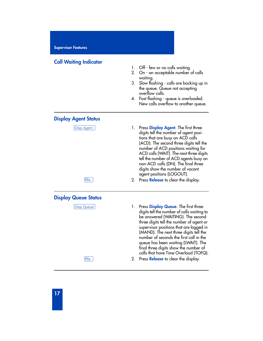#### **Call Waiting Indicator**

- 1. Off few or no calls waiting.
- 2. On an acceptable number of calls waiting.
- 3. Slow flashing calls are backing up in the queue. Queue not accepting overflow calls.
- 4. Fast flashing queue is overloaded. New calls overflow to another queue.

#### **Display Agent Status**

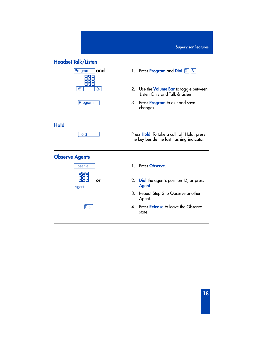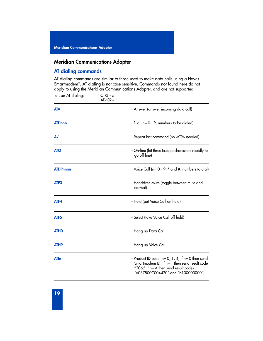#### **Meridian Communications Adapter**

#### **AT dialing commands**

AT dialing commands are similar to those used to make data calls using a Hayes Smartmodem\*. AT dialing is not case sensitive. Commands not found here do not apply to using the Meridian Communications Adapter, and are not supported.

| To user AT dialing:     | CTRL - z<br>AT < CR |                                                                                                                                                                                         |
|-------------------------|---------------------|-----------------------------------------------------------------------------------------------------------------------------------------------------------------------------------------|
| <b>ATA</b>              |                     | - Answer (answer incoming data call)                                                                                                                                                    |
| <b>ATDnnn</b>           |                     | - Dial (n= 0 - 9, numbers to be dialed)                                                                                                                                                 |
| $\mathsf{A}/\mathsf{A}$ |                     | - Repeat last command (no <cr> needed)</cr>                                                                                                                                             |
| <b>ATO</b>              |                     | - On-line (hit three Escape characters rapidly to<br>go off line)                                                                                                                       |
| <b>ATDPnnnn</b>         |                     | - Voice Call ( $n=0$ - 9, $*$ and $#$ , numbers to dial)                                                                                                                                |
| ATF <sub>3</sub>        |                     | - Handsfree Mute (toggle between mute and<br>normal)                                                                                                                                    |
| ATF4                    |                     | - Hold (put Voice Call on hold)                                                                                                                                                         |
| ATF <sub>5</sub>        |                     | - Select (take Voice Call off hold)                                                                                                                                                     |
| <b>ATHO</b>             |                     | - Hang up Data Call                                                                                                                                                                     |
| <b>ATHP</b>             |                     | - Hang up Voice Call                                                                                                                                                                    |
| <b>ATIn</b>             |                     | - Product ID code ( $n=0$ , 1, 4; if $n=0$ then send<br>Smartmodem ID; if n= 1 then send result code<br>" $206$ ;" if n= 4 then send result codes<br>"a037800C004420" and "b100000000") |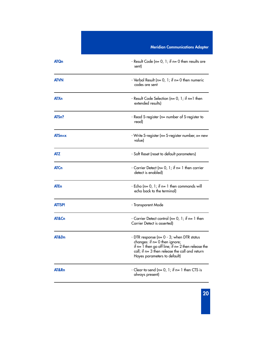|                   | <b>Meridian Communications Adapter</b>                                                                                                                                                                                 |  |
|-------------------|------------------------------------------------------------------------------------------------------------------------------------------------------------------------------------------------------------------------|--|
| <b>ATQn</b>       | - Result Code (n= 0, 1; if n= 0 then results are<br>sent)                                                                                                                                                              |  |
| <b>ATVN</b>       | - Verbal Result ( $n=0, 1$ ; if $n=0$ then numeric<br>codes are sent                                                                                                                                                   |  |
| <b>ATXn</b>       | - Result Code Selection (n= 0, 1; if n=1 then<br>extended results)                                                                                                                                                     |  |
| ATS <sub>n?</sub> | - Read S-register (n= number of S-register to<br>read)                                                                                                                                                                 |  |
| $ATSn=x$          | - Write S-register (n= S-register number, x= new<br>value)                                                                                                                                                             |  |
| <b>ATZ</b>        | - Soft Reset (reset to default parameters)                                                                                                                                                                             |  |
| <b>ATCn</b>       | - Carrier Detect ( $n=0, 1$ ; if $n=1$ then carrier<br>detect is enabled)                                                                                                                                              |  |
| <b>ATEn</b>       | - Echo (n= $0, 1;$ if n= 1 then commands will<br>echo back to the terminal)                                                                                                                                            |  |
| ATTSP!            | - Transparent Mode                                                                                                                                                                                                     |  |
| AT&Cn             | - Carrier Detect control ( $n=0, 1$ ; if $n=1$ then<br>Carrier Detect is asserted)                                                                                                                                     |  |
| AT&Dn             | - DTR response (n= 0 - 3; when DTR status<br>changes: if $n=0$ then ignore;<br>if $n=1$ then go off line; if $n=2$ then release the<br>call; if $n=3$ then release the call and return<br>Hayes parameters to default) |  |
| AT&Rn             | - Clear-to-send (n= 0, 1; if n= 1 then CTS is<br>always present)                                                                                                                                                       |  |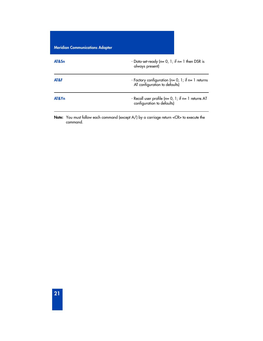| <b>Meridian Communications Adapter</b> |                                                                                        |  |
|----------------------------------------|----------------------------------------------------------------------------------------|--|
| AT&Sn                                  | - Data-set-ready ( $n=0, 1$ ; if $n=1$ then DSR is<br>always present)                  |  |
| AT&F                                   | - Factory configuration ( $n=0$ , 1; if $n=1$ returns<br>AT configuration to defaults) |  |
| AT&Y <sub>n</sub>                      | - Recall user profile ( $n=0$ , 1; if $n=1$ returns AT<br>configuration to defaults)   |  |

**Note:** You must follow each command (except A/) by a carriage return <CR> to execute the command.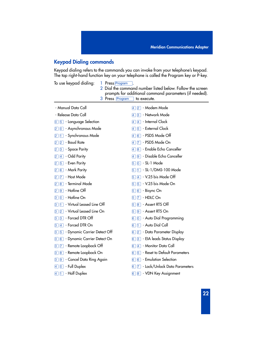### **Keypad Dialing commands**

Keypad dialing refers to the commands you can invoke from your telephone's keypad. The top right-hand function key on your telephone is called the Program key or P-key.

To use keypad dialing: 1 Press Program

- 
- 2 Dial the command number listed below. Follow the screen prompts for additional command parameters (if needed).
- 3 Press Program to execute.

| - Manual Data Call                           | - Modem Mode<br> 2 <br>$\vert 4 \vert$                   |
|----------------------------------------------|----------------------------------------------------------|
| - Release Data Call                          | - Network Mode<br>$\boxed{3}$<br>14                      |
| 0 5 - Language Selection                     | $\sqrt{4}$ - Internal Clock<br>Ι4                        |
| 2 0 - Asynchronous Mode                      | $\boxed{5}$ - External Clock<br>4                        |
| - Synchronous Mode<br> 1                     | - PSDS Mode Off<br>16 I<br>14                            |
| - Baud Rate<br>$\vert$ 2                     | - PSDS Mode On<br>$\sqrt{7}$<br>4                        |
| <b>3</b> - Space Parity                      | 8 - Enable Echo Canceller<br>14                          |
| $\boxed{4}$ - Odd Parity<br>12 I             | <sup>9</sup> - Disable Echo Canceller<br>$\vert 4 \vert$ |
| $\boxed{5}$ - Even Parity<br> 2              | $\boxed{0}$ - SL-1 Mode<br>$\sqrt{5}$                    |
| $\boxed{6}$ - Mark Parity<br>$\vert 2 \vert$ | $\Box$ - SL-1/DMS-100 Mode<br>5                          |
| - Host Mode<br>17 I<br>2                     | $\sqrt{4}$ - V.25 bis Mode Off<br>5                      |
| - Terminal Mode<br>8                         | - V.25 bis Mode On<br>$\sqrt{5}$<br>5                    |
| - Hotline Off<br> 9                          | - Bisync On<br> 5  <br> 6                                |
| - Hotline On<br>1 O<br>3                     | - HDLC On<br>17 I<br>5                                   |
| - Virtual Leased Line Off<br>3               | - Assert RTS Off<br>$\boxed{8}$<br>$\sqrt{5}$            |
| - Virtual Leased Line On<br>3<br> 2          | <b>9 - Assert RTS On</b><br>5                            |
| 3 - Forced DTR Off<br>3                      | $\boxed{0}$ - Auto Dial Programming<br> 6                |
| - Forced DTR On<br> 4 <br>13                 | $\Box$ - Auto Dial Call<br>$\vert 6 \vert$               |
| 5 - Dynamic Carrier Detect Off<br>3          | 6 2 - Data Parameter Display                             |
| - Dynamic Carrier Detect On<br> 6 <br> 3     | 3 - EIA leads Status Display<br> 6                       |
| [7] - Remote Loopback Off<br> 3              | 6 4 - Monitor Data Call                                  |
| 8 - Remote Loopback On<br> 3                 | - Reset to Default Parameters<br> 5 <br> 6               |
| <sup>9</sup> - Cancel Data Ring Again<br> 3  | $\boxed{6}$ - Emulation Selection<br>16 I                |
| $\boxed{0}$ - Full Duplex                    | - Lock/Unlock Data Parameters<br>$\vert 7 \vert$<br> 6   |
| - Half Duplex<br>Ħ,<br>14                    | - VDN Key Assignment<br>$\vert 8 \vert$<br> 6            |
|                                              |                                                          |